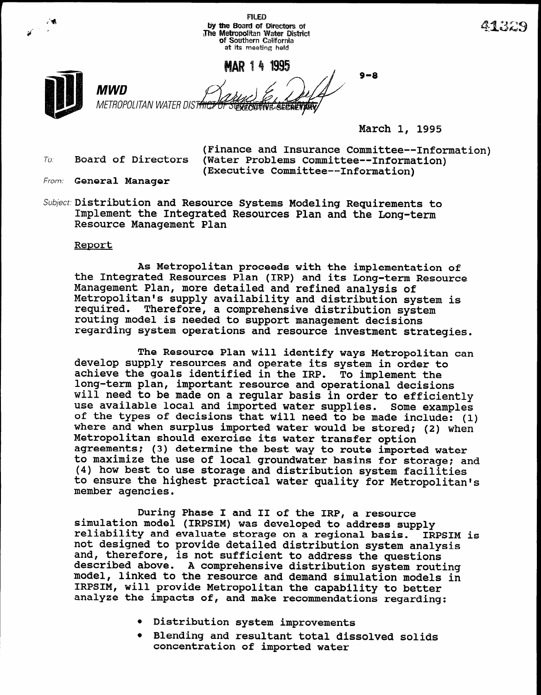by the Board of Directors of The Metropolitan Water Distric<br>Of Southern California at its meeting held MAR 14 1995 9-8 MWD METROPOLITAN WATER DIST<del>RIC</del> *GYFOLITIVE AECRETIKA* 

**FILED** 

March 1, 1995

(Finance and Insurance Committee--Information) To. Board of Directors (Water Problems Committee--Information) (Executive Committee--Information)

- From: General Manager
- Subject: Distribution and Resource Systems Modeling Requirements to Implement the Integrated Resources Plan and the Long-term Resource Management Plan

## Renort

As Metropolitan proceeds with the implementation of the Integrated Resources Plan (IRP) and its Long-term Resource Management Plan, more detailed and refined analysis of Metropolitan's supply availability and distribution system is required. Therefore, a comprehensive distribution system routing model is needed to support management decisions regarding system operations and resource investment strategies.

The Resource Plan will identify ways Metropolitan can The Resource Plan will luentify ways metropolitan achieve supply resources and operate its system in order to the second supply resources and operate its system in order t achieve the goals identified in the IRP. To implement the long-term plan, important resource and operational decisions will need to be made on a regular basis in order to efficiently use available local and imported water supplies. Some examples of the types of decisions that will need to be made include: (1) where and when surplus imported water would be stored; (2) when Metropolitan should exercise its water transfer option agreements; (3) determine the best way to route imported water to maximize the use of local groundwater basins for storage; and (4) how best to use storage and distribution system facilities to ensure the highest practical water quality for Metropolitan's member agencies.

During Phase I and II of the IRP, a resource buring Phase I and II of the IRP, a resource simulation model (IRPSIM) was developed to address supply reliability and evaluate storage on a regional basis. IRPSIM is not designed to provide detailed distribution system ana and, therefore, is not sufficient to address the questions described above. A comprehensive distribution system routing model, linked to the resource and demand simulation models in IRPSIM, will provide Metropolitan the capability to better analyze the impacts of, and make recommendations regarding:

- **•** Distribution system improvements
- Blending and resultant total dissolved solids concentration of imported water